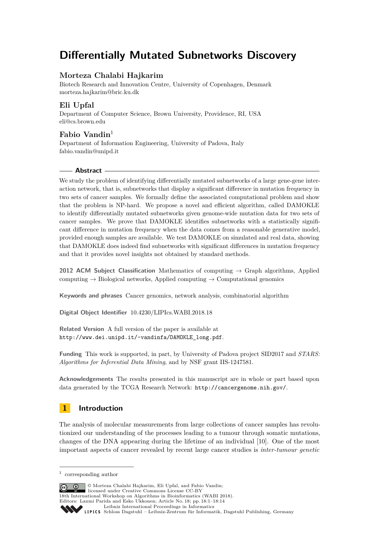# **Differentially Mutated Subnetworks Discovery**

# **Morteza Chalabi Hajkarim**

Biotech Research and Innovation Centre, University of Copenhagen, Denmark [morteza.hajkarim@bric.ku.dk](mailto:morteza.hajkarim@bric.ku.dk)

# **Eli Upfal**

Department of Computer Science, Brown University, Providence, RI, USA [eli@cs.brown.edu](mailto:eli@cs.brown.edu)

# **Fabio Vandin**<sup>1</sup>

Department of Information Engineering, University of Padova, Italy [fabio.vandin@unipd.it](mailto:fabio.vandin@unipd.it)

# **Abstract**

We study the problem of identifying differentially mutated subnetworks of a large gene-gene interaction network, that is, subnetworks that display a significant difference in mutation frequency in two sets of cancer samples. We formally define the associated computational problem and show that the problem is NP-hard. We propose a novel and efficient algorithm, called DAMOKLE to identify differentially mutated subnetworks given genome-wide mutation data for two sets of cancer samples. We prove that DAMOKLE identifies subnetworks with a statistically significant difference in mutation frequency when the data comes from a reasonable generative model, provided enough samples are available. We test DAMOKLE on simulated and real data, showing that DAMOKLE does indeed find subnetworks with significant differences in mutation frequency and that it provides novel insights not obtained by standard methods.

**2012 ACM Subject Classification** Mathematics of computing → Graph algorithms, Applied computing  $\rightarrow$  Biological networks, Applied computing  $\rightarrow$  Computational genomics

**Keywords and phrases** Cancer genomics, network analysis, combinatorial algorithm

**Digital Object Identifier** [10.4230/LIPIcs.WABI.2018.18](http://dx.doi.org/10.4230/LIPIcs.WABI.2018.18)

**Related Version** A full version of the paper is available at [http://www.dei.unipd.it/~vandinfa/DAMOKLE\\_long.pdf](http://www.dei.unipd.it/~vandinfa/DAMOKLE_long.pdf).

**Funding** This work is supported, in part, by University of Padova project SID2017 and *STARS: Algorithms for Inferential Data Mining*, and by NSF grant IIS-1247581.

**Acknowledgements** The results presented in this manuscript are in whole or part based upon data generated by the TCGA Research Network: <http://cancergenome.nih.gov/>.

# **1 Introduction**

The analysis of molecular measurements from large collections of cancer samples has revolutionized our understanding of the processes leading to a tumour through somatic mutations, changes of the DNA appearing during the lifetime of an individual [\[10\]](#page-11-0). One of the most important aspects of cancer revealed by recent large cancer studies is *inter-tumour genetic*

© Morteza Chalabi Hajkarim, Eli Upfal, and Fabio Vandin;  $\boxed{6}$   $\boxed{0}$ licensed under Creative Commons License CC-BY 18th International Workshop on Algorithms in Bioinformatics (WABI 2018). Editors: Laxmi Parida and Esko Ukkonen; Article No. 18; pp. 18:1–18[:14](#page-13-0) [Leibniz International Proceedings in Informatics](http://www.dagstuhl.de/lipics/) [Schloss Dagstuhl – Leibniz-Zentrum für Informatik, Dagstuhl Publishing, Germany](http://www.dagstuhl.de)

<sup>1</sup> corresponding author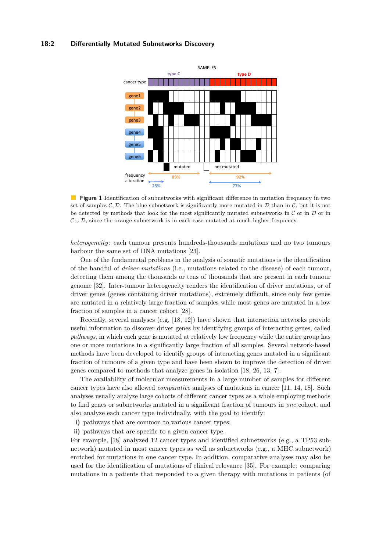#### <span id="page-1-0"></span>**18:2 Differentially Mutated Subnetworks Discovery**



 $\mathcal{O}(\mathbb{R}^d)$ **Figure 1** Identification of subnetworks with significant difference in mutation frequency in two set of samples  $\mathcal{C}, \mathcal{D}$ . The blue subnetwork is significantly more mutated in  $\mathcal{D}$  than in  $\mathcal{C}$ , but it is not be detected by methods that look for the most significantly mutated subnetworks in  $\mathcal C$  or in  $\mathcal D$  or in  $\mathcal{C} \cup \mathcal{D}$ , since the orange subnetwork is in each case mutated at much higher frequency.

*heterogeneity*: each tumour presents hundreds-thousands mutations and no two tumours harbour the same set of DNA mutations [\[23\]](#page-12-0).

One of the fundamental problems in the analysis of somatic mutations is the identification of the handful of *driver mutations* (i.e., mutations related to the disease) of each tumour, detecting them among the thousands or tens of thousands that are present in each tumour genome [\[32\]](#page-13-1). Inter-tumour heterogeneity renders the identification of driver mutations, or of driver genes (genes containing driver mutations), extremely difficult, since only few genes are mutated in a relatively large fraction of samples while most genes are mutated in a low fraction of samples in a cancer cohort [\[28\]](#page-12-1).

Recently, several analyses (e.g, [\[18,](#page-12-2) [12\]](#page-11-1)) have shown that interaction networks provide useful information to discover driver genes by identifying groups of interacting genes, called *pathways*, in which each gene is mutated at relatively low frequency while the entire group has one or more mutations in a significantly large fraction of all samples. Several network-based methods have been developed to identify groups of interacting genes mutated in a significant fraction of tumours of a given type and have been shown to improve the detection of driver genes compared to methods that analyze genes in isolation [\[18,](#page-12-2) [26,](#page-12-3) [13,](#page-11-2) [7\]](#page-11-3).

The availability of molecular measurements in a large number of samples for different cancer types have also allowed *comparative* analyses of mutations in cancer [\[11,](#page-11-4) [14,](#page-11-5) [18\]](#page-12-2). Such analyses usually analyze large cohorts of different cancer types as a whole employing methods to find genes or subnetworks mutated in a significant fraction of tumours in *one* cohort, and also analyze each cancer type individually, with the goal to identify:

- **i)** pathways that are common to various cancer types;
- **ii)** pathways that are specific to a given cancer type.

For example, [\[18\]](#page-12-2) analyzed 12 cancer types and identified subnetworks (e.g., a TP53 subnetwork) mutated in most cancer types as well as subnetworks (e.g., a MHC subnetwork) enriched for mutations in one cancer type. In addition, comparative analyses may also be used for the identification of mutations of clinical relevance [\[35\]](#page-13-2). For example: comparing mutations in a patients that responded to a given therapy with mutations in patients (of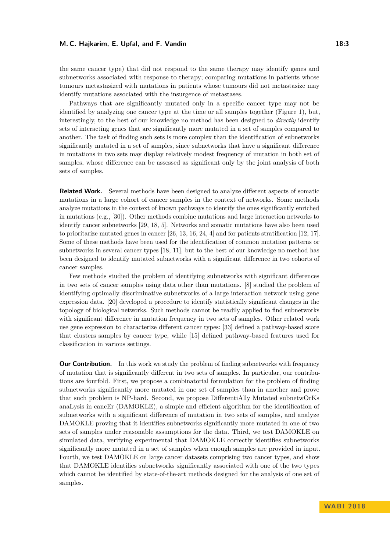#### **M. C. Hajkarim, E. Upfal, and F. Vandin 18:3**

the same cancer type) that did not respond to the same therapy may identify genes and subnetworks associated with response to therapy; comparing mutations in patients whose tumours metastasized with mutations in patients whose tumours did not metastasize may identify mutations associated with the insurgence of metastases.

Pathways that are significantly mutated only in a specific cancer type may not be identified by analyzing one cancer type at the time or all samples together (Figure [1\)](#page-1-0), but, interestingly, to the best of our knowledge no method has been designed to *directly* identify sets of interacting genes that are significantly more mutated in a set of samples compared to another. The task of finding such sets is more complex than the identification of subnetworks significantly mutated in a set of samples, since subnetworks that have a significant difference in mutations in two sets may display relatively modest frequency of mutation in both set of samples, whose difference can be assessed as significant only by the joint analysis of both sets of samples.

**Related Work.** Several methods have been designed to analyze different aspects of somatic mutations in a large cohort of cancer samples in the context of networks. Some methods analyze mutations in the context of known pathways to identify the ones significantly enriched in mutations (e.g., [\[30\]](#page-12-4)). Other methods combine mutations and large interaction networks to identify cancer subnetworks [\[29,](#page-12-5) [18,](#page-12-2) [5\]](#page-11-6). Networks and somatic mutations have also been used to prioritarize mutated genes in cancer [\[26,](#page-12-3) [13,](#page-11-2) [16,](#page-12-6) [24,](#page-12-7) [4\]](#page-11-7) and for patients stratification [\[12,](#page-11-1) [17\]](#page-12-8). Some of these methods have been used for the identification of common mutation patterns or subnetworks in several cancer types [\[18,](#page-12-2) [11\]](#page-11-4), but to the best of our knowledge no method has been designed to identify mutated subnetworks with a significant difference in two cohorts of cancer samples.

Few methods studied the problem of identifying subnetworks with significant differences in two sets of cancer samples using data other than mutations. [\[8\]](#page-11-8) studied the problem of identifying optimally discriminative subnetworks of a large interaction network using gene expression data. [\[20\]](#page-12-9) developed a procedure to identify statistically significant changes in the topology of biological networks. Such methods cannot be readily applied to find subnetworks with significant difference in mutation frequency in two sets of samples. Other related work use gene expression to characterize different cancer types: [\[33\]](#page-13-3) defined a pathway-based score that clusters samples by cancer type, while [\[15\]](#page-12-10) defined pathway-based features used for classification in various settings.

**Our Contribution.** In this work we study the problem of finding subnetworks with frequency of mutation that is significantly different in two sets of samples. In particular, our contributions are fourfold. First, we propose a combinatorial formulation for the problem of finding subnetworks significantly more mutated in one set of samples than in another and prove that such problem is NP-hard. Second, we propose DifferentiAlly Mutated subnetwOrKs anaLysis in cancEr (DAMOKLE), a simple and efficient algorithm for the identification of subnetworks with a significant difference of mutation in two sets of samples, and analyze DAMOKLE proving that it identifies subnetworks significantly more mutated in one of two sets of samples under reasonable assumptions for the data. Third, we test DAMOKLE on simulated data, verifying experimental that DAMOKLE correctly identifies subnetworks significantly more mutated in a set of samples when enough samples are provided in input. Fourth, we test DAMOKLE on large cancer datasets comprising two cancer types, and show that DAMOKLE identifies subnetworks significantly associated with one of the two types which cannot be identified by state-of-the-art methods designed for the analysis of one set of samples.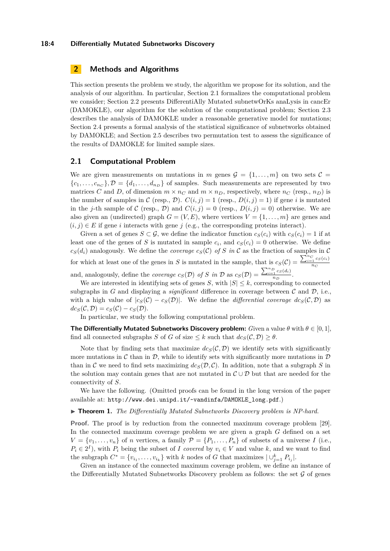#### **18:4 Differentially Mutated Subnetworks Discovery**

# **2 Methods and Algorithms**

This section presents the problem we study, the algorithm we propose for its solution, and the analysis of our algorithm. In particular, Section [2.1](#page-3-0) formalizes the computational problem we consider; Section [2.2](#page-4-0) presents DifferentiAlly Mutated subnetwOrKs anaLysis in cancEr (DAMOKLE), our algorithm for the solution of the computational problem; Section [2.3](#page-4-1) describes the analysis of DAMOKLE under a reasonable generative model for mutations; Section [2.4](#page-6-0) presents a formal analysis of the statistical significance of subnetworks obtained by DAMOKLE; and Section [2.5](#page-6-1) describes two permutation test to assess the significance of the results of DAMOKLE for limited sample sizes.

### <span id="page-3-0"></span>**2.1 Computational Problem**

We are given measurements on mutations in *m* genes  $\mathcal{G} = \{1, \ldots, m\}$  on two sets  $\mathcal{C} =$  ${c_1, \ldots, c_{n_c}}$ ,  $\mathcal{D} = {d_1, \ldots, d_{n_p}}$  of samples. Such measurements are represented by two matrices *C* and *D*, of dimension  $m \times n_C$  and  $m \times n_D$ , respectively, where  $n_C$  (resp.,  $n_D$ ) is the number of samples in C (resp., D).  $C(i, j) = 1$  (resp.,  $D(i, j) = 1$ ) if gene *i* is mutated in the *j*-th sample of C (resp., D) and  $C(i, j) = 0$  (resp.,  $D(i, j) = 0$ ) otherwise. We are also given an (undirected) graph  $G = (V, E)$ , where vertices  $V = \{1, \ldots, m\}$  are genes and  $(i, j) \in E$  if gene *i* interacts with gene *j* (e.g., the corresponding proteins interact).

Given a set of genes  $S \subset \mathcal{G}$ , we define the indicator function  $c_S(c_i)$  with  $c_S(c_i) = 1$  if at least one of the genes of *S* is mutated in sample  $c_i$ , and  $c_S(c_i) = 0$  otherwise. We define  $c_S(d_i)$  analogously. We define the *coverage*  $c_S(\mathcal{C})$  of *S* in C as the fraction of samples in C for which at least one of the genes in *S* is mutated in the sample, that is  $c_S(\mathcal{C}) = \frac{\sum_{i=1}^{n_C} c_S(c_i)}{n_C}$ *n<sup>C</sup>* and, analogously, define the *coverage*  $c_S(\mathcal{D})$  of *S* in  $\mathcal{D}$  as  $c_S(\mathcal{D}) = \frac{\sum_{i=1}^{n_D} c_S(d_i)}{n_D}$  $\frac{1}{n_D}$ .

We are interested in identifying sets of genes *S*, with  $|S| \leq k$ , corresponding to connected subgraphs in *G* and displaying a *significant* difference in coverage between  $\mathcal{C}$  and  $\mathcal{D}$ , i.e., with a high value of  $|c_S(\mathcal{C}) - c_S(\mathcal{D})|$ . We define the *differential coverage*  $dc_S(\mathcal{C}, \mathcal{D})$  as  $dc_S(\mathcal{C}, \mathcal{D}) = c_S(\mathcal{C}) - c_S(\mathcal{D}).$ 

In particular, we study the following computational problem.

**The Differentially Mutated Subnetworks Discovery problem:** *Given a value*  $\theta$  *with*  $\theta \in [0, 1]$ , find all connected subgraphs *S* of *G* of size  $\leq k$  such that  $dc_S(\mathcal{C}, \mathcal{D}) \geq \theta$ .

Note that by finding sets that maximize  $dc_S(\mathcal{C}, \mathcal{D})$  we identify sets with significantly more mutations in C than in D, while to identify sets with significantly more mutations in  $D$ than in C we need to find sets maximizing  $dc_S(\mathcal{D}, \mathcal{C})$ . In addition, note that a subgraph *S* in the solution may contain genes that are not mutated in  $\mathcal{C} \cup \mathcal{D}$  but that are needed for the connectivity of *S*.

We have the following. (Omitted proofs can be found in the long version of the paper available at: [http://www.dei.unipd.it/~vandinfa/DAMOKLE\\_long.pdf](http://www.dei.unipd.it/~vandinfa/DAMOKLE_long.pdf).)

#### ▶ **Theorem 1.** *The Differentially Mutated Subnetworks Discovery problem is NP-hard.*

**Proof.** The proof is by reduction from the connected maximum coverage problem [\[29\]](#page-12-5). In the connected maximum coverage problem we are given a graph *G* defined on a set  $V = \{v_1, \ldots, v_n\}$  of *n* vertices, a family  $P = \{P_1, \ldots, P_n\}$  of subsets of a universe *I* (i.e.,  $P_i \in 2^I$ , with  $P_i$  being the subset of *I covered* by  $v_i \in V$  and value *k*, and we want to find the subgraph  $C^* = \{v_{i_1}, \ldots, v_{i_k}\}\$  with *k* nodes of *G* that maximizes  $|\cup_{j=1}^k P_{i_j}|$ .

Given an instance of the connected maximum coverage problem, we define an instance of the Differentially Mutated Subnetworks Discovery problem as follows: the set  $\mathcal G$  of genes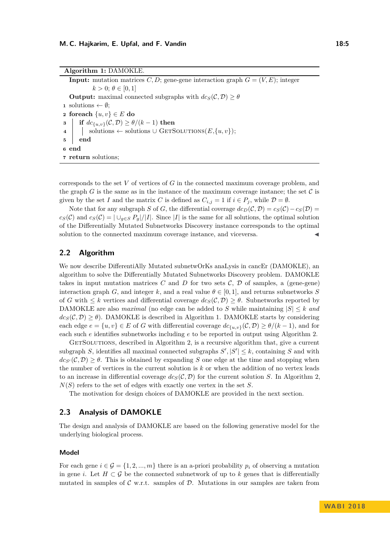<span id="page-4-2"></span>corresponds to the set *V* of vertices of *G* in the connected maximum coverage problem, and the graph  $G$  is the same as in the instance of the maximum coverage instance; the set  $C$  is given by the set *I* and the matrix *C* is defined as  $C_{i,j} = 1$  if  $i \in P_j$ , while  $\mathcal{D} = \emptyset$ .

Note that for any subgraph *S* of *G*, the differential coverage  $dc_D(\mathcal{C}, \mathcal{D}) = c_S(\mathcal{C}) - c_S(\mathcal{D}) =$  $c_S(\mathcal{C})$  and  $c_S(\mathcal{C}) = |\bigcup_{g \in S} P_g|/|I|$ . Since |*I*| is the same for all solutions, the optimal solution of the Differentially Mutated Subnetworks Discovery instance corresponds to the optimal solution to the connected maximum coverage instance, and viceversa.

# <span id="page-4-0"></span>**2.2 Algorithm**

We now describe DifferentiAlly Mutated subnetwOrKs anaLysis in cancEr (DAMOKLE), an algorithm to solve the Differentially Mutated Subnetworks Discovery problem. DAMOKLE takes in input mutation matrices  $C$  and  $D$  for two sets  $C$ ,  $D$  of samples, a (gene-gene) interaction graph *G*, and integer *k*, and a real value  $\theta \in [0,1]$ , and returns subnetworks *S* of *G* with  $\leq k$  vertices and differential coverage  $dc_S(\mathcal{C}, \mathcal{D}) \geq \theta$ . Subnetworks reported by DAMOKLE are also *maximal* (no edge can be added to *S* while maintaining  $|S| \leq k$  *and*  $dc_S(\mathcal{C}, \mathcal{D}) \geq \theta$ ). DAMOKLE is described in Algorithm [1.](#page-4-2) DAMOKLE starts by considering each edge  $e = \{u, v\} \in E$  of *G* with differential coverage  $dc_{\{u, v\}}(\mathcal{C}, \mathcal{D}) \geq \theta/(k-1)$ , and for each such *e* identifies subnetworks including *e* to be reported in output using Algorithm [2.](#page-5-0)

 $GETSOLUTIONS$ , described in Algorithm [2,](#page-5-0) is a recursive algorithm that, give a current subgraph *S*, identifies all maximal connected subgraphs  $S'$ ,  $|S'| \leq k$ , containing *S* and with  $dc<sub>S'</sub>(C, D) > \theta$ . This is obtained by expanding *S* one edge at the time and stopping when the number of vertices in the current solution is *k* or when the addition of no vertex leads to an increase in differential coverage  $dc_S(\mathcal{C}, \mathcal{D})$  for the current solution *S*. In Algorithm [2,](#page-5-0) *N*(*S*) refers to the set of edges with exactly one vertex in the set *S*.

The motivation for design choices of DAMOKLE are provided in the next section.

# <span id="page-4-1"></span>**2.3 Analysis of DAMOKLE**

The design and analysis of DAMOKLE are based on the following generative model for the underlying biological process.

#### **Model**

For each gene  $i \in \mathcal{G} = \{1, 2, ..., m\}$  there is an a-priori probability  $p_i$  of observing a mutation in gene *i*. Let  $H \subset \mathcal{G}$  be the connected subnetwork of up to k genes that is differentially mutated in samples of  $\mathcal{C}$  w.r.t. samples of  $\mathcal{D}$ . Mutations in our samples are taken from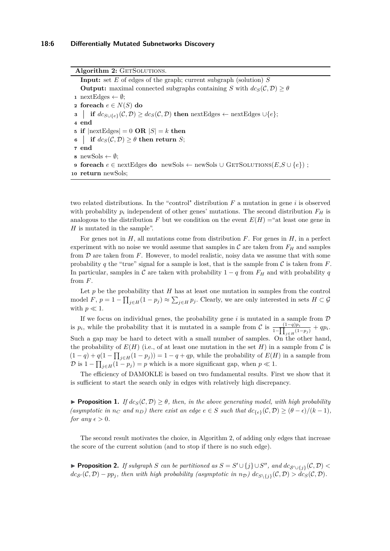Algorithm 2: GETSOLUTIONS. **Input:** set *E* of edges of the graph; current subgraph (solution) *S* **Output:** maximal connected subgraphs containing *S* with  $dc_S(\mathcal{C}, \mathcal{D}) \geq \theta$  nextEdges  $\leftarrow \emptyset$ ; **foreach**  $e \in N(S)$  **do if**  $dc_{S \cup \{e\}}(\mathcal{C}, \mathcal{D}) \geq dc_S(\mathcal{C}, \mathcal{D})$  **then** nextEdges ← nextEdges ∪{*e*}; **4 end if**  $|\text{nextEdges}| = 0$  **OR**  $|S| = k$  **then | if**  $dc_S(\mathcal{C}, \mathcal{D}) \geq \theta$  **then return** *S*; **7 end** newSols  $\leftarrow \emptyset$ ; **foreach**  $e \in \text{nextEdges}$  **do** newSols ← newSols ∪ GETSOLUTIONS( $E, S \cup \{e\}$ ); **return** newSols;

<span id="page-5-0"></span>two related distributions. In the "control" distribution *F* a mutation in gene *i* is observed with probability  $p_i$  independent of other genes' mutations. The second distribution  $F_H$  is analogous to the distribution *F* but we condition on the event  $E(H) =$ "at least one gene in *H* is mutated in the sample".

For genes not in *H*, all mutations come from distribution *F*. For genes in *H*, in a perfect experiment with no noise we would assume that samples in  $\mathcal C$  are taken from  $F_H$  and samples from  $D$  are taken from  $F$ . However, to model realistic, noisy data we assume that with some probability q the "true" signal for a sample is lost, that is the sample from  $\mathcal C$  is taken from  $F$ . In particular, samples in C are taken with probability  $1 - q$  from  $F<sub>H</sub>$  and with probability q from *F*.

Let  $p$  be the probability that  $H$  has at least one mutation in samples from the control model *F*,  $p = 1 - \prod_{j \in H} (1 - p_j) \approx \sum_{j \in H} p_j$ . Clearly, we are only interested in sets  $H \subset \mathcal{G}$ with  $p \ll 1$ .

If we focus on individual genes, the probability gene  $i$  is mutated in a sample from  $D$ is  $p_i$ , while the probability that it is mutated in a sample from C is  $\frac{(1-q)p_i}{1-\prod_{j\in H}(1-p_j)} + qp_i$ . Such a gap may be hard to detect with a small number of samples. On the other hand, the probability of  $E(H)$  (i.e., of at least one mutation in the set  $H$ ) in a sample from  $\mathcal C$  is  $(1 - q) + q(1 - \prod_{j \in H} (1 - p_j)) = 1 - q + qp$ , while the probability of  $E(H)$  in a sample from  $\mathcal{D}$  is  $1 - \prod_{j \in H} (1 - p_j) = p$  which is a more significant gap, when  $p \ll 1$ .

The efficiency of DAMOKLE is based on two fundamental results. First we show that it is sufficient to start the search only in edges with relatively high discrepancy.

**Proposition 1.** *If*  $dc_S(\mathcal{C}, \mathcal{D}) \geq \theta$ , then, in the above generating model, with high probability  $($ *asymptotic in*  $n_C$  *and*  $n_D$ *)* there exist an edge  $e \in S$  *such that*  $d c_{\{e\}}(C, D) \geq (\theta - \epsilon)/(k - 1)$ *, for any*  $\epsilon > 0$ *.* 

The second result motivates the choice, in Algorithm [2,](#page-5-0) of adding only edges that increase the score of the current solution (and to stop if there is no such edge).

▶ **Proposition 2.** *If subgraph S can be partitioned as*  $S = S' \cup \{j\} \cup S''$ *, and*  $dc_{S' \cup \{j\}}(C, D)$  <  $dc_{S'}(\mathcal{C}, \mathcal{D}) - pp_j$ , then with high probability (asymptotic in  $n_{\mathcal{D}}$ )  $dc_{S\setminus\{j\}}(\mathcal{C}, \mathcal{D}) > dc_S(\mathcal{C}, \mathcal{D})$ .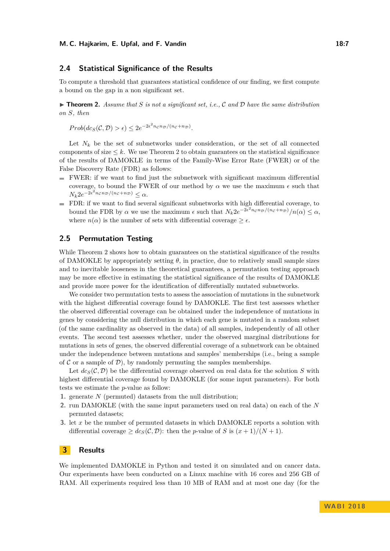### <span id="page-6-0"></span>**2.4 Statistical Significance of the Results**

To compute a threshold that guarantees statistical confidence of our finding, we first compute a bound on the gap in a non significant set.

<span id="page-6-2"></span> $\triangleright$  **Theorem 2.** *Assume that S is not a significant set, i.e., C* and *D have the same distribution on S, then*

 $Prob(dc_S(\mathcal{C}, \mathcal{D}) > \epsilon) \leq 2e^{-2\epsilon^2 n_c n_{\mathcal{D}}/(n_c + n_{\mathcal{D}})}.$ 

Let  $N_k$  be the set of subnetworks under consideration, or the set of all connected components of size  $\leq k$ . We use Theorem [2](#page-6-2) to obtain guarantees on the statistical significance of the results of DAMOKLE in terms of the Family-Wise Error Rate (FWER) or of the False Discovery Rate (FDR) as follows:

- $\blacksquare$  FWER: if we want to find just the subnetwork with significant maximum differential coverage, to bound the FWER of our method by  $\alpha$  we use the maximum  $\epsilon$  such that  $N_k 2e^{-2\epsilon^2 n_c n_D/(n_c+n_D)} \leq \alpha.$
- FDR: if we want to find several significant subnetworks with high differential coverage, to bound the FDR by  $\alpha$  we use the maximum  $\epsilon$  such that  $N_k 2e^{-2\epsilon^2 n_c n_D/(n_c+n_D)}/n(\alpha) \leq \alpha$ , where  $n(\alpha)$  is the number of sets with differential coverage  $\geq \epsilon$ .

### <span id="page-6-1"></span>**2.5 Permutation Testing**

While Theorem [2](#page-6-2) shows how to obtain guarantees on the statistical significance of the results of DAMOKLE by appropriately setting  $\theta$ , in practice, due to relatively small sample sizes and to inevitable looseness in the theoretical guarantees, a permutation testing approach may be more effective in estimating the statistical significance of the results of DAMOKLE and provide more power for the identification of differentially mutated subnetworks.

We consider two permutation tests to assess the association of mutations in the subnetwork with the highest differential coverage found by DAMOKLE. The first test assesses whether the observed differential coverage can be obtained under the independence of mutations in genes by considering the null distribution in which each gene is mutated in a random subset (of the same cardinality as observed in the data) of all samples, independently of all other events. The second test assesses whether, under the observed marginal distributions for mutations in sets of genes, the observed differential coverage of a subnetwork can be obtained under the independence between mutations and samples' memberships (i.e., being a sample of  $\mathcal C$  or a sample of  $\mathcal D$ ), by randomly permuting the samples memberships.

Let  $dc_S(C, \mathcal{D})$  be the differential coverage observed on real data for the solution *S* with highest differential coverage found by DAMOKLE (for some input parameters). For both tests we estimate the *p*-value as follow:

- **1.** generate *N* (permuted) datasets from the null distribution;
- **2.** run DAMOKLE (with the same input parameters used on real data) on each of the *N* permuted datasets;
- **3.** let *x* be the number of permuted datasets in which DAMOKLE reports a solution with differential coverage  $\geq dc_S(\mathcal{C}, \mathcal{D})$ : then the *p*-value of *S* is  $(x+1)/(N+1)$ .

# **3 Results**

We implemented DAMOKLE in Python and tested it on simulated and on cancer data. Our experiments have been conducted on a Linux machine with 16 cores and 256 GB of RAM. All experiments required less than 10 MB of RAM and at most one day (for the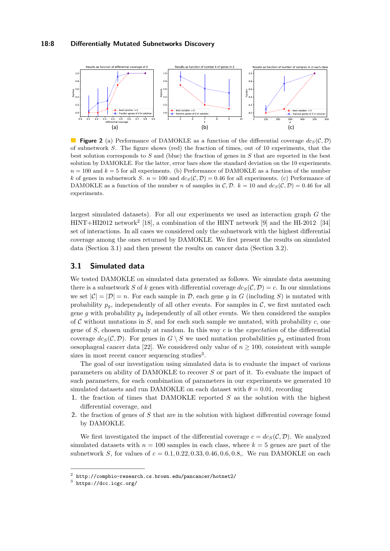<span id="page-7-3"></span>

**Figure 2** (a) Performance of DAMOKLE as a function of the differential coverage  $dc_S(\mathcal{C}, \mathcal{D})$ of subnetwork *S*. The figure shows (red) the fraction of times, out of 10 experiments, that the best solution corresponds to *S* and (blue) the fraction of genes in *S* that are reported in the best solution by DAMOKLE. For the latter, error bars show the standard deviation on the 10 experiments.  $n = 100$  and  $k = 5$  for all experiments. (b) Performance of DAMOKLE as a function of the number *k* of genes in subnetwork *S*.  $n = 100$  and  $dc_S(\mathcal{C}, \mathcal{D}) = 0.46$  for all experiments. (c) Performance of DAMOKLE as a function of the number *n* of samples in C, D.  $k = 10$  and  $d c_S(C, D) = 0.46$  for all experiments.

largest simulated datasets). For all our experiments we used as interaction graph *G* the HINT+HI[2](#page-7-0)012 network<sup>2</sup> [\[18\]](#page-12-2), a combination of the HINT network [\[9\]](#page-11-9) and the HI-2012 [\[34\]](#page-13-4) set of interactions. In all cases we considered only the subnetwork with the highest differential coverage among the ones returned by DAMOKLE. We first present the results on simulated data (Section [3.1\)](#page-7-1) and then present the results on cancer data (Section [3.2\)](#page-8-0).

# <span id="page-7-1"></span>**3.1 Simulated data**

We tested DAMOKLE on simulated data generated as follows. We simulate data assuming there is a subnetwork *S* of *k* genes with differential coverage  $dc_S(\mathcal{C}, \mathcal{D}) = c$ . In our simulations we set  $|\mathcal{C}| = |\mathcal{D}| = n$ . For each sample in  $\mathcal{D}$ , each gene g in G (including S) is mutated with probability  $p_q$ , independently of all other events. For samples in  $\mathcal{C}$ , we first mutated each gene g with probability  $p_q$  independently of all other events. We then considered the samples of  $\mathcal C$  without mutations in  $S$ , and for each such sample we mutated, with probability  $c$ , one gene of *S*, chosen uniformly at random. In this way *c* is the *expectation* of the differential coverage  $dc_S(\mathcal{C}, \mathcal{D})$ . For genes in  $G \setminus S$  we used mutation probabilities  $p_g$  estimated from oesophageal cancer data [\[22\]](#page-12-11). We considered only value of  $n \geq 100$ , consistent with sample sizes in most recent cancer sequencing studies<sup>[3](#page-7-2)</sup>.

The goal of our investigation using simulated data is to evaluate the impact of various parameters on ability of DAMOKLE to recover *S* or part of it. To evaluate the impact of such parameters, for each combination of parameters in our experiments we generated 10 simulated datasets and run DAMOKLE on each dataset with  $\theta = 0.01$ , recording

- **1.** the fraction of times that DAMOKLE reported *S* as the solution with the highest differential coverage, and
- **2.** the fraction of genes of *S* that are in the solution with highest differential coverage found by DAMOKLE.

We first investigated the impact of the differential coverage  $c = dc_S(\mathcal{C}, \mathcal{D})$ . We analyzed simulated datasets with  $n = 100$  samples in each class, where  $k = 5$  genes are part of the subnetwork *S*, for values of *c* = 0*.*1*,* 0*.*22*,* 0*.*33*,* 0*.*46*,* 0*.*6*,* 0*.*8,. We run DAMOKLE on each

<span id="page-7-0"></span><sup>2</sup> http://compbio-research.cs.brown.edu/pancancer/hotnet2/

<span id="page-7-2"></span> $3$  <https://dcc.icgc.org/>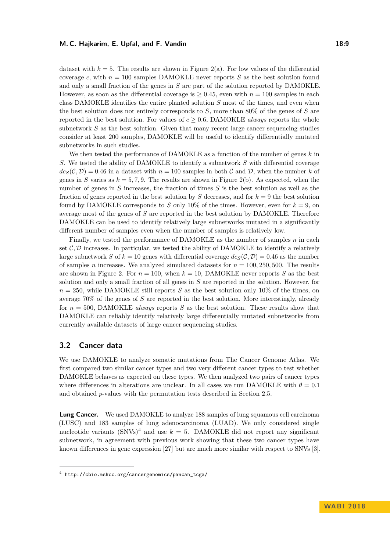dataset with  $k = 5$ . The results are shown in Figure [2\(](#page-7-3)a). For low values of the differential coverage c, with  $n = 100$  samples DAMOKLE never reports  $S$  as the best solution found and only a small fraction of the genes in *S* are part of the solution reported by DAMOKLE. However, as soon as the differential coverage is  $\geq 0.45$ , even with  $n = 100$  samples in each class DAMOKLE identifies the entire planted solution *S* most of the times, and even when the best solution does not entirely corresponds to *S*, more than 80% of the genes of *S* are reported in the best solution. For values of  $c > 0.6$ , DAMOKLE *always* reports the whole subnetwork *S* as the best solution. Given that many recent large cancer sequencing studies consider at least 200 samples, DAMOKLE will be useful to identify differentially mutated subnetworks in such studies.

We then tested the performance of DAMOKLE as a function of the number of genes *k* in *S*. We tested the ability of DAMOKLE to identify a subnetwork *S* with differential coverage  $dc_S(\mathcal{C}, \mathcal{D}) = 0.46$  in a dataset with  $n = 100$  samples in both C and D, when the number k of genes in *S* varies as  $k = 5, 7, 9$ . The results are shown in Figure [2\(](#page-7-3)b). As expected, when the number of genes in *S* increases, the fraction of times *S* is the best solution as well as the fraction of genes reported in the best solution by  $S$  decreases, and for  $k = 9$  the best solution found by DAMOKLE corresponds to *S* only 10% of the times. However, even for  $k = 9$ , on average most of the genes of *S* are reported in the best solution by DAMOKLE. Therefore DAMOKLE can be used to identify relatively large subnetworks mutated in a significantly different number of samples even when the number of samples is relatively low.

Finally, we tested the performance of DAMOKLE as the number of samples *n* in each set  $\mathcal{C}, \mathcal{D}$  increases. In particular, we tested the ability of DAMOKLE to identify a relatively large subnetwork *S* of  $k = 10$  genes with differential coverage  $dc_S(\mathcal{C}, \mathcal{D}) = 0.46$  as the number of samples *n* increases. We analyzed simulated datasets for  $n = 100, 250, 500$ . The results are shown in Figure [2.](#page-7-3) For  $n = 100$ , when  $k = 10$ , DAMOKLE never reports S as the best solution and only a small fraction of all genes in *S* are reported in the solution. However, for  $n = 250$ , while DAMOKLE still reports *S* as the best solution only 10% of the times, on average 70% of the genes of *S* are reported in the best solution. More interestingly, already for *n* = 500, DAMOKLE *always* reports *S* as the best solution. These results show that DAMOKLE can reliably identify relatively large differentially mutated subnetworks from currently available datasets of large cancer sequencing studies.

# <span id="page-8-0"></span>**3.2 Cancer data**

We use DAMOKLE to analyze somatic mutations from The Cancer Genome Atlas. We first compared two similar cancer types and two very different cancer types to test whether DAMOKLE behaves as expected on these types. We then analyzed two pairs of cancer types where differences in alterations are unclear. In all cases we run DAMOKLE with  $\theta = 0.1$ and obtained *p*-values with the permutation tests described in Section [2.5.](#page-6-1)

**Lung Cancer.** We used DAMOKLE to analyze 188 samples of lung squamous cell carcinoma (LUSC) and 183 samples of lung adenocarcinoma (LUAD). We only considered single nucleotide variants  $(SNNs)^4$  $(SNNs)^4$  and use  $k = 5$ . DAMOKLE did not report any significant subnetwork, in agreement with previous work showing that these two cancer types have known differences in gene expression [\[27\]](#page-12-12) but are much more similar with respect to SNVs [\[3\]](#page-11-10).

<span id="page-8-1"></span> $^4$  [http://cbio.mskcc.org/cancergenomics/pancan\\_tcga/](http://cbio.mskcc.org/cancergenomics/pancan_tcga/)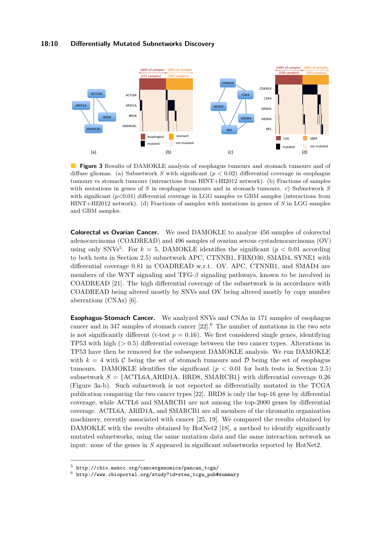<span id="page-9-2"></span>

**Figure 3** Results of DAMOKLE analysis of esophagus tumours and stomach tumours and of diffuse gliomas. (a) Subnetwork *S* with significant (*p <* 0*.*02) differential coverage in esophagus tumours vs stomach tumours (interactions from HINT+HI2012 network). (b) Fractions of samples with mutations in genes of *S* in esophagus tumours and in stomach tumours. c) Subnetwork *S* with significant  $(p<0.01)$  differential coverage in LGG samples vs GBM samples (interactions from HINT+HI2012 network). (d) Fractions of samples with mutations in genes of *S* in LGG samples and GBM samples.

**Colorectal vs Ovarian Cancer.** We used DAMOKLE to analyze 456 samples of colorectal adenocarcinoma (COADREAD) and 496 samples of ovarian serous cystadenocarcinoma (OV) using only SNVs<sup>[5](#page-9-0)</sup>. For  $k = 5$ , DAMOKLE identifies the significant ( $p < 0.01$  according to both tests in Section [2.5\)](#page-6-1) subnetwork APC, CTNNB1, FBXO30, SMAD4, SYNE1 with differential coverage 0*.*81 in COADREAD w.r.t. OV. APC, CTNNB1, and SMAD4 are members of the WNT signaling and TFG-*β* signaling pathways, known to be involved in COADREAD [\[21\]](#page-12-13). The high differential coverage of the subnetwork is in accordance with COADREAD being altered mostly by SNVs and OV being altered mostly by copy number aberrations (CNAs) [\[6\]](#page-11-11).

**Esophagus-Stomach Cancer.** We analyzed SNVs and CNAs in 171 samples of esophagus cancer and in 347 samples of stomach cancer  $[22]$ .<sup>[6](#page-9-1)</sup> The number of mutations in the two sets is not significantly different (t-test  $p = 0.16$ ). We first considered single genes, identifying TP53 with high (*>* 0*.*5) differential coverage between the two cancer types. Alterations in TP53 have then be removed for the subsequent DAMOKLE analysis. We run DAMOKLE with  $k = 4$  with C being the set of stomach tumours and D being the set of esophagus tumours. DAMOKLE identifies the significant  $(p < 0.01$  for both tests in Section [2.5\)](#page-6-1) subnetwork  $S = \{ACTL6A, ARID1A, BRD8, SMARCB1\}$  with differential coverage 0.26 (Figure [3a](#page-9-2)-b). Such subnetwork is not reported as differentially mutated in the TCGA publication comparing the two cancer types [\[22\]](#page-12-11). BRD8 is only the top-16 gene by differential coverage, while ACTL6 and SMARCB1 are not among the top-2000 genes by differential coverage. ACTL6A, ARID1A, and SMARCB1 are all members of the chromatin organization machinery, recently associated with cancer [\[25,](#page-12-14) [19\]](#page-12-15). We compared the results obtained by DAMOKLE with the results obtained by HotNet2 [\[18\]](#page-12-2), a method to identify significantly mutated subnetworks, using the same mutation data and the same interaction network as input: none of the genes in *S* appeared in significant subnetworks reported by HotNet2.

<span id="page-9-0"></span> $^5$  [http://cbio.mskcc.org/cancergenomics/pancan\\_tcga/](http://cbio.mskcc.org/cancergenomics/pancan_tcga/)

<span id="page-9-1"></span> $^6$  [http://www.cbioportal.org/study?id=stes\\_tcga\\_pub#summary](http://www.cbioportal.org/study?id=stes_tcga_pub#summary)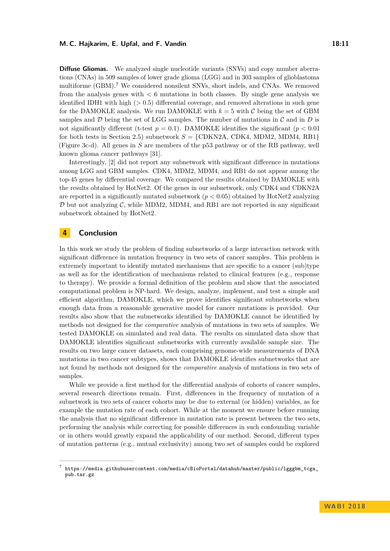#### **M. C. Hajkarim, E. Upfal, and F. Vandin 18:11** 18:11

**Diffuse Gliomas.** We analyzed single nucleotide variants (SNVs) and copy number aberrations (CNAs) in 509 samples of lower grade glioma (LGG) and in 303 samples of glioblastoma multiforme (GBM).<sup>[7](#page-10-0)</sup> We considered nonsilent SNVs, short indels, and CNAs. We removed from the analysis genes with *<* 6 mutations in both classes. By single gene analysis we identified IDH1 with high  $(>0.5)$  differential coverage, and removed alterations in such gene for the DAMOKLE analysis. We run DAMOKLE with  $k = 5$  with C being the set of GBM samples and  $D$  being the set of LGG samples. The number of mutations in  $C$  and in  $D$  is not significantly different (t-test  $p = 0.1$ ). DAMOKLE identifies the significant ( $p < 0.01$ ) for both tests in Section [2.5\)](#page-6-1) subnetwork  $S = \{CDKN2A, CDK4, MDM2, MDM4, RB1\}$ (Figure [3c](#page-9-2)-d). All genes in *S* are members of the p53 pathway or of the RB pathway, well known glioma cancer pathways [\[31\]](#page-12-16).

Interestingly, [\[2\]](#page-11-12) did not report any subnetwork with significant difference in mutations among LGG and GBM samples. CDK4, MDM2, MDM4, and RB1 do not appear among the top-45 genes by differential coverage. We compared the results obtained by DAMOKLE with the results obtained by HotNet2. Of the genes in our subnetwork, only CDK4 and CDKN2A are reported in a significantly mutated subnetwork  $(p < 0.05)$  obtained by HotNet2 analyzing  $D$  but not analyzing C, while MDM2, MDM4, and RB1 are not reported in any significant subnetwork obtained by HotNet2.

# **4 Conclusion**

In this work we study the problem of finding subnetworks of a large interaction network with significant difference in mutation frequency in two sets of cancer samples. This problem is extremely important to identify mutated mechanisms that are specific to a cancer (sub)type as well as for the identification of mechanisms related to clinical features (e.g., response to therapy). We provide a formal definition of the problem and show that the associated computational problem is NP-hard. We design, analyze, implement, and test a simple and efficient algorithm, DAMOKLE, which we prove identifies significant subnetworks when enough data from a reasonable generative model for cancer mutations is provided. Our results also show that the subnetworks identified by DAMOKLE cannot be identified by methods not designed for the *comparative* analysis of mutations in two sets of samples. We tested DAMOKLE on simulated and real data. The results on simulated data show that DAMOKLE identifies significant subnetworks with currently available sample size. The results on two large cancer datasets, each comprising genome-wide measurements of DNA mutations in two cancer subtypes, shows that DAMOKLE identifies subnetworks that are not found by methods not designed for the *comparative* analysis of mutations in two sets of samples.

While we provide a first method for the differential analysis of cohorts of cancer samples, several research directions remain. First, differences in the frequency of mutation of a subnetwork in two sets of cancer cohorts may be due to external (or hidden) variables, as for example the mutation rate of each cohort. While at the moment we ensure before running the analysis that no significant difference in mutation rate is present between the two sets, performing the analysis while correcting for possible differences in such confounding variable or in others would greatly expand the applicability of our method. Second, different types of mutation patterns (e.g., mutual exclusivity) among two set of samples could be explored

<span id="page-10-0"></span><sup>7</sup> [https://media.githubusercontent.com/media/cBioPortal/datahub/master/public/lgggbm\\_tcga\\_](https://media.githubusercontent.com/media/cBioPortal/datahub/master/public/lgggbm_tcga_pub.tar.gz) [pub.tar.gz](https://media.githubusercontent.com/media/cBioPortal/datahub/master/public/lgggbm_tcga_pub.tar.gz)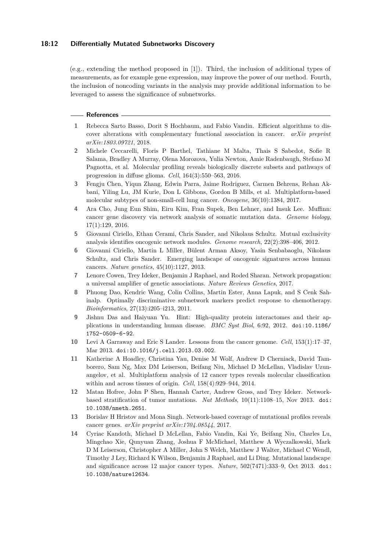### **18:12 Differentially Mutated Subnetworks Discovery**

(e.g., extending the method proposed in [\[1\]](#page-11-13)). Third, the inclusion of additional types of measurements, as for example gene expression, may improve the power of our method. Fourth, the inclusion of noncoding variants in the analysis may provide additional information to be leveraged to assess the significance of subnetworks.

#### **References**

- <span id="page-11-13"></span>**1** Rebecca Sarto Basso, Dorit S Hochbaum, and Fabio Vandin. Efficient algorithms to discover alterations with complementary functional association in cancer. *arXiv preprint arXiv:1803.09721*, 2018.
- <span id="page-11-12"></span>**2** Michele Ceccarelli, Floris P Barthel, Tathiane M Malta, Thais S Sabedot, Sofie R Salama, Bradley A Murray, Olena Morozova, Yulia Newton, Amie Radenbaugh, Stefano M Pagnotta, et al. Molecular profiling reveals biologically discrete subsets and pathways of progression in diffuse glioma. *Cell*, 164(3):550–563, 2016.
- <span id="page-11-10"></span>**3** Fengju Chen, Yiqun Zhang, Edwin Parra, Jaime Rodriguez, Carmen Behrens, Rehan Akbani, Yiling Lu, JM Kurie, Don L Gibbons, Gordon B Mills, et al. Multiplatform-based molecular subtypes of non-small-cell lung cancer. *Oncogene*, 36(10):1384, 2017.
- <span id="page-11-7"></span>**4** Ara Cho, Jung Eun Shim, Eiru Kim, Fran Supek, Ben Lehner, and Insuk Lee. Muffinn: cancer gene discovery via network analysis of somatic mutation data. *Genome biology*, 17(1):129, 2016.
- <span id="page-11-6"></span>**5** Giovanni Ciriello, Ethan Cerami, Chris Sander, and Nikolaus Schultz. Mutual exclusivity analysis identifies oncogenic network modules. *Genome research*, 22(2):398–406, 2012.
- <span id="page-11-11"></span>**6** Giovanni Ciriello, Martin L Miller, Bülent Arman Aksoy, Yasin Senbabaoglu, Nikolaus Schultz, and Chris Sander. Emerging landscape of oncogenic signatures across human cancers. *Nature genetics*, 45(10):1127, 2013.
- <span id="page-11-3"></span>**7** Lenore Cowen, Trey Ideker, Benjamin J Raphael, and Roded Sharan. Network propagation: a universal amplifier of genetic associations. *Nature Reviews Genetics*, 2017.
- <span id="page-11-8"></span>**8** Phuong Dao, Kendric Wang, Colin Collins, Martin Ester, Anna Lapuk, and S Cenk Sahinalp. Optimally discriminative subnetwork markers predict response to chemotherapy. *Bioinformatics*, 27(13):i205–i213, 2011.
- <span id="page-11-9"></span>**9** Jishnu Das and Haiyuan Yu. Hint: High-quality protein interactomes and their applications in understanding human disease. *BMC Syst Biol*, 6:92, 2012. [doi:10.1186/](http://dx.doi.org/10.1186/1752-0509-6-92) [1752-0509-6-92](http://dx.doi.org/10.1186/1752-0509-6-92).
- <span id="page-11-0"></span>**10** Levi A Garraway and Eric S Lander. Lessons from the cancer genome. *Cell*, 153(1):17–37, Mar 2013. [doi:10.1016/j.cell.2013.03.002](http://dx.doi.org/10.1016/j.cell.2013.03.002).
- <span id="page-11-4"></span>**11** Katherine A Hoadley, Christina Yau, Denise M Wolf, Andrew D Cherniack, David Tamborero, Sam Ng, Max DM Leiserson, Beifang Niu, Michael D McLellan, Vladislav Uzunangelov, et al. Multiplatform analysis of 12 cancer types reveals molecular classification within and across tissues of origin. *Cell*, 158(4):929–944, 2014.
- <span id="page-11-1"></span>**12** Matan Hofree, John P Shen, Hannah Carter, Andrew Gross, and Trey Ideker. Networkbased stratification of tumor mutations. *Nat Methods*, 10(11):1108–15, Nov 2013. [doi:](http://dx.doi.org/10.1038/nmeth.2651) [10.1038/nmeth.2651](http://dx.doi.org/10.1038/nmeth.2651).
- <span id="page-11-2"></span>**13** Borislav H Hristov and Mona Singh. Network-based coverage of mutational profiles reveals cancer genes. *arXiv preprint arXiv:1704.08544*, 2017.
- <span id="page-11-5"></span>**14** Cyriac Kandoth, Michael D McLellan, Fabio Vandin, Kai Ye, Beifang Niu, Charles Lu, Mingchao Xie, Qunyuan Zhang, Joshua F McMichael, Matthew A Wyczalkowski, Mark D M Leiserson, Christopher A Miller, John S Welch, Matthew J Walter, Michael C Wendl, Timothy J Ley, Richard K Wilson, Benjamin J Raphael, and Li Ding. Mutational landscape and significance across 12 major cancer types. *Nature*, 502(7471):333–9, Oct 2013. [doi:](http://dx.doi.org/10.1038/nature12634) [10.1038/nature12634](http://dx.doi.org/10.1038/nature12634).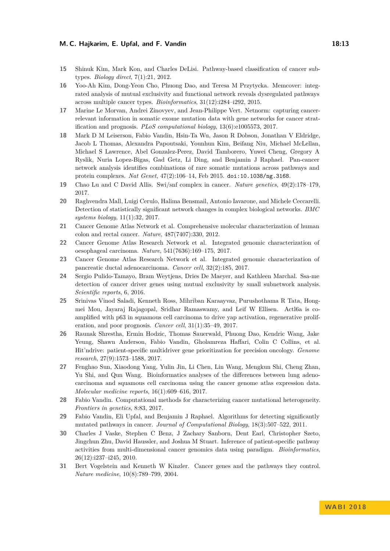#### **M. C. Hajkarim, E. Upfal, and F. Vandin 18:13**

- <span id="page-12-10"></span>**15** Shinuk Kim, Mark Kon, and Charles DeLisi. Pathway-based classification of cancer subtypes. *Biology direct*, 7(1):21, 2012.
- <span id="page-12-6"></span>**16** Yoo-Ah Kim, Dong-Yeon Cho, Phuong Dao, and Teresa M Przytycka. Memcover: integrated analysis of mutual exclusivity and functional network reveals dysregulated pathways across multiple cancer types. *Bioinformatics*, 31(12):i284–i292, 2015.
- <span id="page-12-8"></span>**17** Marine Le Morvan, Andrei Zinovyev, and Jean-Philippe Vert. Netnorm: capturing cancerrelevant information in somatic exome mutation data with gene networks for cancer stratification and prognosis. *PLoS computational biology*, 13(6):e1005573, 2017.
- <span id="page-12-2"></span>**18** Mark D M Leiserson, Fabio Vandin, Hsin-Ta Wu, Jason R Dobson, Jonathan V Eldridge, Jacob L Thomas, Alexandra Papoutsaki, Younhun Kim, Beifang Niu, Michael McLellan, Michael S Lawrence, Abel Gonzalez-Perez, David Tamborero, Yuwei Cheng, Gregory A Ryslik, Nuria Lopez-Bigas, Gad Getz, Li Ding, and Benjamin J Raphael. Pan-cancer network analysis identifies combinations of rare somatic mutations across pathways and protein complexes. *Nat Genet*, 47(2):106–14, Feb 2015. [doi:10.1038/ng.3168](http://dx.doi.org/10.1038/ng.3168).
- <span id="page-12-15"></span>**19** Chao Lu and C David Allis. Swi/snf complex in cancer. *Nature genetics*, 49(2):178–179, 2017.
- <span id="page-12-9"></span>**20** Raghvendra Mall, Luigi Cerulo, Halima Bensmail, Antonio Iavarone, and Michele Ceccarelli. Detection of statistically significant network changes in complex biological networks. *BMC systems biology*, 11(1):32, 2017.
- <span id="page-12-13"></span>**21** Cancer Genome Atlas Network et al. Comprehensive molecular characterization of human colon and rectal cancer. *Nature*, 487(7407):330, 2012.
- <span id="page-12-11"></span>**22** Cancer Genome Atlas Research Network et al. Integrated genomic characterization of oesophageal carcinoma. *Nature*, 541(7636):169–175, 2017.
- <span id="page-12-0"></span>**23** Cancer Genome Atlas Research Network et al. Integrated genomic characterization of pancreatic ductal adenocarcinoma. *Cancer cell*, 32(2):185, 2017.
- <span id="page-12-7"></span>**24** Sergio Pulido-Tamayo, Bram Weytjens, Dries De Maeyer, and Kathleen Marchal. Ssa-me detection of cancer driver genes using mutual exclusivity by small subnetwork analysis. *Scientific reports*, 6, 2016.
- <span id="page-12-14"></span>**25** Srinivas Vinod Saladi, Kenneth Ross, Mihriban Karaayvaz, Purushothama R Tata, Hongmei Mou, Jayaraj Rajagopal, Sridhar Ramaswamy, and Leif W Ellisen. Actl6a is coamplified with p63 in squamous cell carcinoma to drive yap activation, regenerative proliferation, and poor prognosis. *Cancer cell*, 31(1):35–49, 2017.
- <span id="page-12-3"></span>**26** Raunak Shrestha, Ermin Hodzic, Thomas Sauerwald, Phuong Dao, Kendric Wang, Jake Yeung, Shawn Anderson, Fabio Vandin, Gholamreza Haffari, Colin C Collins, et al. Hit'ndrive: patient-specific multidriver gene prioritization for precision oncology. *Genome research*, 27(9):1573–1588, 2017.
- <span id="page-12-12"></span>**27** Fenghao Sun, Xiaodong Yang, Yulin Jin, Li Chen, Lin Wang, Mengkun Shi, Cheng Zhan, Yu Shi, and Qun Wang. Bioinformatics analyses of the differences between lung adenocarcinoma and squamous cell carcinoma using the cancer genome atlas expression data. *Molecular medicine reports*, 16(1):609–616, 2017.
- <span id="page-12-1"></span>**28** Fabio Vandin. Computational methods for characterizing cancer mutational heterogeneity. *Frontiers in genetics*, 8:83, 2017.
- <span id="page-12-5"></span>**29** Fabio Vandin, Eli Upfal, and Benjamin J Raphael. Algorithms for detecting significantly mutated pathways in cancer. *Journal of Computational Biology*, 18(3):507–522, 2011.
- <span id="page-12-4"></span>**30** Charles J Vaske, Stephen C Benz, J Zachary Sanborn, Dent Earl, Christopher Szeto, Jingchun Zhu, David Haussler, and Joshua M Stuart. Inference of patient-specific pathway activities from multi-dimensional cancer genomics data using paradigm. *Bioinformatics*, 26(12):i237–i245, 2010.
- <span id="page-12-16"></span>**31** Bert Vogelstein and Kenneth W Kinzler. Cancer genes and the pathways they control. *Nature medicine*, 10(8):789–799, 2004.